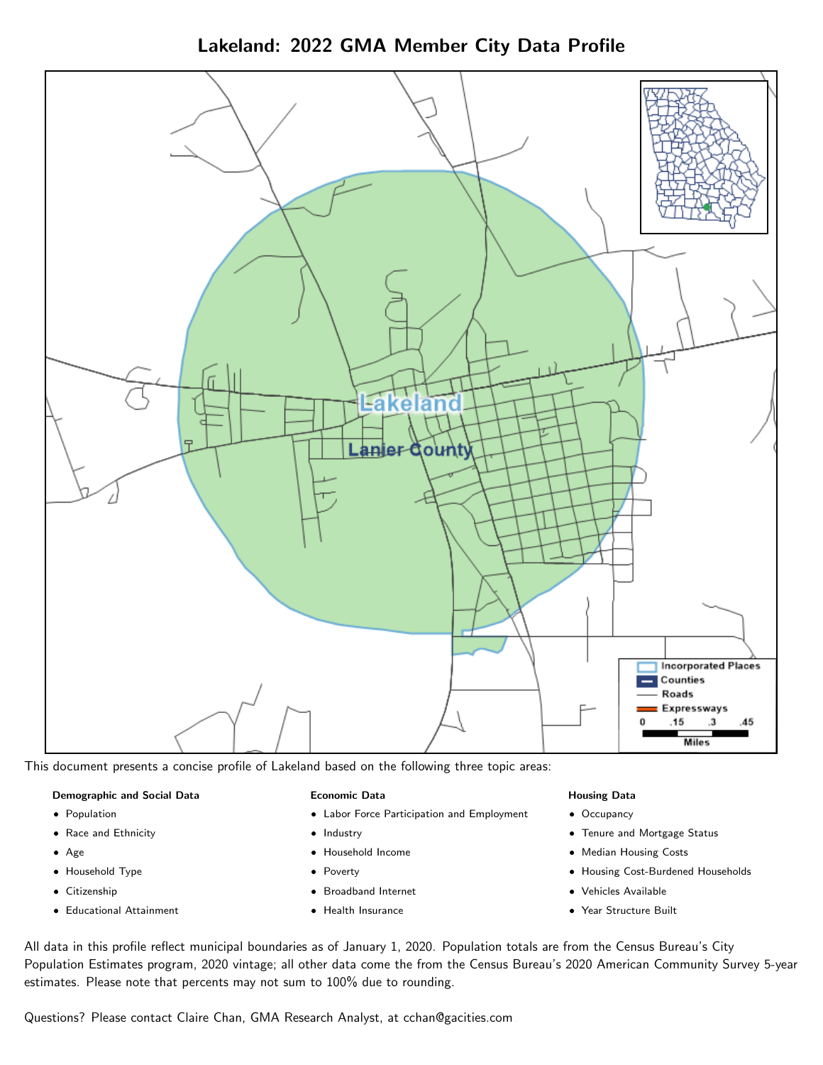Lakeland: 2022 GMA Member City Data Profile



This document presents a concise profile of Lakeland based on the following three topic areas:

#### Demographic and Social Data

- **•** Population
- Race and Ethnicity
- Age
- Household Type
- **Citizenship**
- Educational Attainment

#### Economic Data

- Labor Force Participation and Employment
- Industry
- Household Income
- Poverty
- Broadband Internet
- Health Insurance

#### Housing Data

- Occupancy
- Tenure and Mortgage Status
- Median Housing Costs
- Housing Cost-Burdened Households
- Vehicles Available
- Year Structure Built

All data in this profile reflect municipal boundaries as of January 1, 2020. Population totals are from the Census Bureau's City Population Estimates program, 2020 vintage; all other data come the from the Census Bureau's 2020 American Community Survey 5-year estimates. Please note that percents may not sum to 100% due to rounding.

Questions? Please contact Claire Chan, GMA Research Analyst, at [cchan@gacities.com.](mailto:cchan@gacities.com)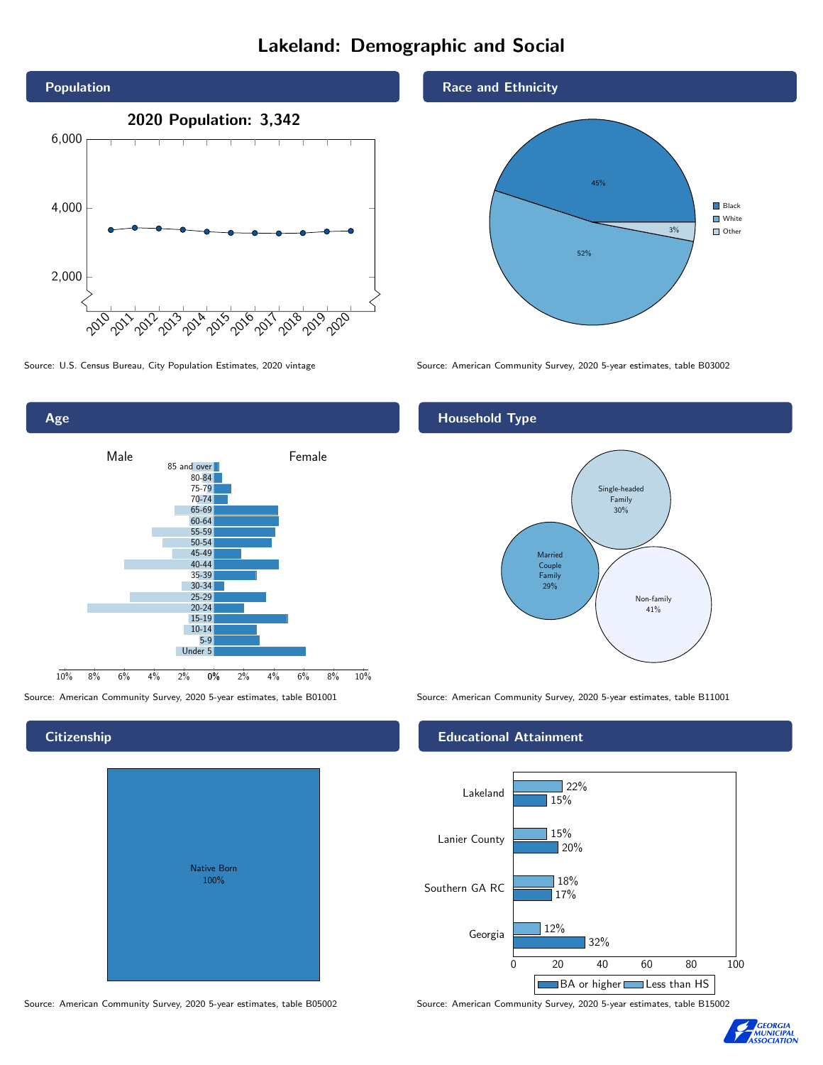# Lakeland: Demographic and Social



0% 2% 4% 6% 8% 10% Male **Female** 10% 8% 6% 4% 2% 85 and over 80-84 75-79 70-74 65-69 60-64 55-59 50-54 45-49 40-44 35-39 30-34 25-29 20-24 15-19  $10-14$ 5-9 Under 5

## **Citizenship**

Age

|  | <b>Native Born</b><br>100% |  |
|--|----------------------------|--|
|  |                            |  |

Race and Ethnicity



Source: U.S. Census Bureau, City Population Estimates, 2020 vintage Source: American Community Survey, 2020 5-year estimates, table B03002

## Household Type



Source: American Community Survey, 2020 5-year estimates, table B01001 Source: American Community Survey, 2020 5-year estimates, table B11001

#### Educational Attainment



Source: American Community Survey, 2020 5-year estimates, table B05002 Source: American Community Survey, 2020 5-year estimates, table B15002

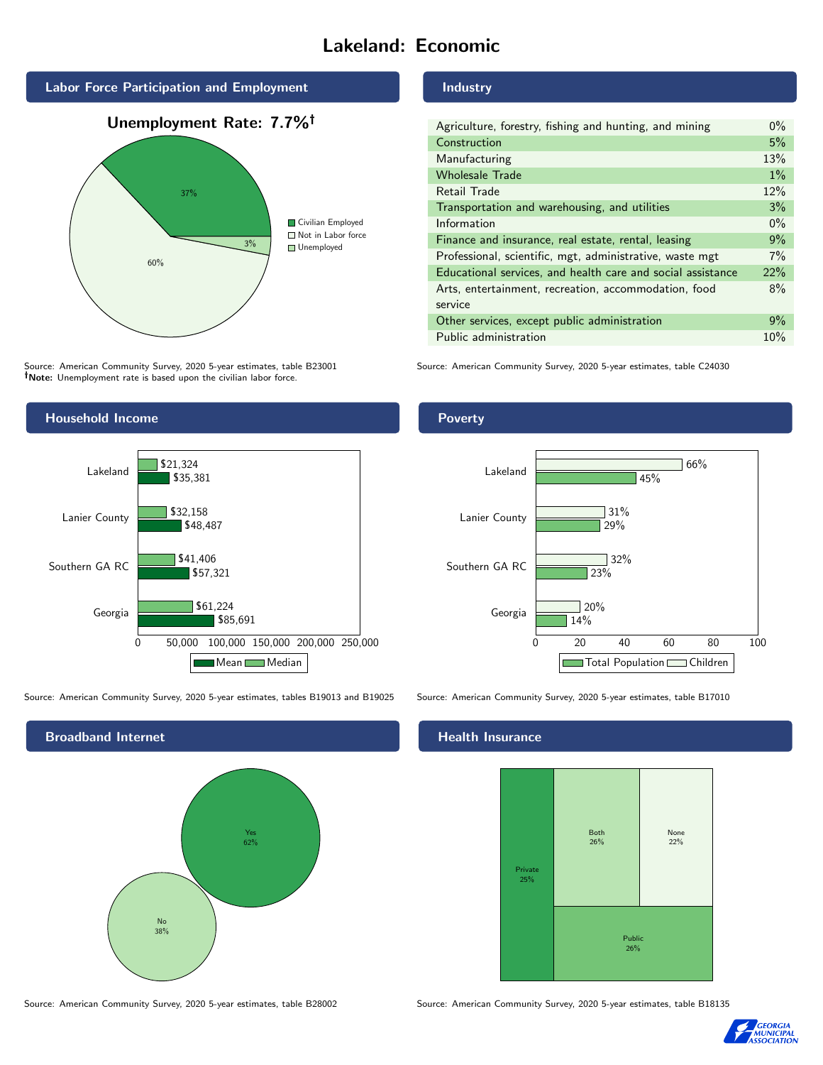# Lakeland: Economic



Source: American Community Survey, 2020 5-year estimates, table B23001 Note: Unemployment rate is based upon the civilian labor force.

#### Industry

| Agriculture, forestry, fishing and hunting, and mining      |  |  |  |
|-------------------------------------------------------------|--|--|--|
| Construction                                                |  |  |  |
| Manufacturing                                               |  |  |  |
| <b>Wholesale Trade</b>                                      |  |  |  |
| Retail Trade                                                |  |  |  |
| Transportation and warehousing, and utilities               |  |  |  |
| Information                                                 |  |  |  |
| Finance and insurance, real estate, rental, leasing         |  |  |  |
| Professional, scientific, mgt, administrative, waste mgt    |  |  |  |
| Educational services, and health care and social assistance |  |  |  |
| Arts, entertainment, recreation, accommodation, food        |  |  |  |
| service                                                     |  |  |  |
| Other services, except public administration                |  |  |  |
| Public administration                                       |  |  |  |

Source: American Community Survey, 2020 5-year estimates, table C24030



Source: American Community Survey, 2020 5-year estimates, tables B19013 and B19025 Source: American Community Survey, 2020 5-year estimates, table B17010



Source: American Community Survey, 2020 5-year estimates, table B28002 Source: American Community Survey, 2020 5-year estimates, table B18135

Poverty



## **Health Insurance**